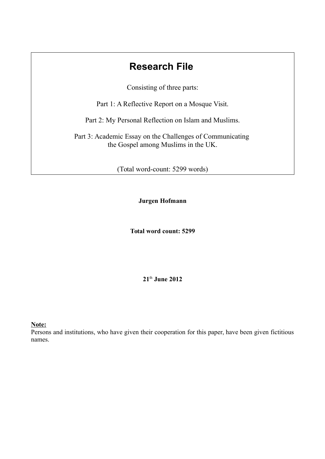# **Research File**

Consisting of three parts:

Part 1: A Reflective Report on a Mosque Visit.

Part 2: My Personal Reflection on Islam and Muslims.

Part 3: Academic Essay on the Challenges of Communicating the Gospel among Muslims in the UK.

(Total word-count: 5299 words)

**Jurgen Hofmann**

**Total word count: 5299**

**21**th **June 2012**

**Note:**

Persons and institutions, who have given their cooperation for this paper, have been given fictitious names.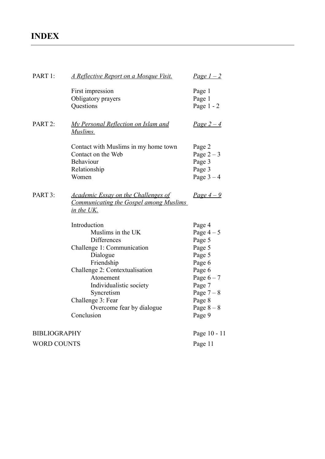# **INDEX**

| PART 1:             | <u>A Reflective Report on a Mosque Visit.</u>                                                                                                                                                                                                                    | <u>Page <math>1-2</math></u>                                                                                                                     |
|---------------------|------------------------------------------------------------------------------------------------------------------------------------------------------------------------------------------------------------------------------------------------------------------|--------------------------------------------------------------------------------------------------------------------------------------------------|
|                     | First impression<br>Obligatory prayers<br>Questions                                                                                                                                                                                                              | Page 1<br>Page 1<br>Page $1 - 2$                                                                                                                 |
| PART 2:             | <b>My Personal Reflection on Islam and</b><br>Muslims.                                                                                                                                                                                                           | Page $2-4$                                                                                                                                       |
|                     | Contact with Muslims in my home town<br>Contact on the Web<br>Behaviour<br>Relationship<br>Women                                                                                                                                                                 | Page 2<br>Page $2-3$<br>Page 3<br>Page 3<br>Page $3-4$                                                                                           |
| PART 3:             | <b>Academic Essay on the Challenges of</b><br><b>Communicating the Gospel among Muslims</b><br>in the UK.                                                                                                                                                        | <u>Page <math>4-9</math></u>                                                                                                                     |
|                     | Introduction<br>Muslims in the UK<br>Differences<br>Challenge 1: Communication<br>Dialogue<br>Friendship<br>Challenge 2: Contextualisation<br>Atonement<br>Individualistic society<br>Syncretism<br>Challenge 3: Fear<br>Overcome fear by dialogue<br>Conclusion | Page 4<br>Page $4-5$<br>Page 5<br>Page 5<br>Page 5<br>Page 6<br>Page 6<br>Page $6 - 7$<br>Page 7<br>Page $7-8$<br>Page 8<br>Page $8-8$<br>Page 9 |
| <b>BIBLIOGRAPHY</b> |                                                                                                                                                                                                                                                                  | Page 10 - 11                                                                                                                                     |
| <b>WORD COUNTS</b>  |                                                                                                                                                                                                                                                                  | Page 11                                                                                                                                          |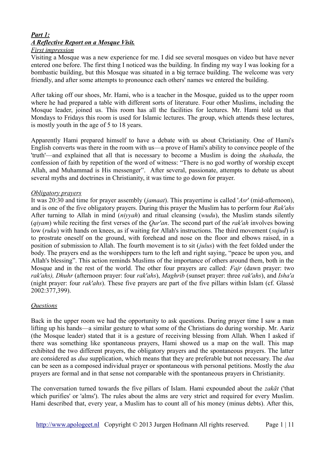# *Part 1: A Reflective Report on a Mosque Visit.*

#### *First impression*

Visiting a Mosque was a new experience for me. I did see several mosques on video but have never entered one before. The first thing I noticed was the building. In finding my way I was looking for a bombastic building, but this Mosque was situated in a big terrace building. The welcome was very friendly, and after some attempts to pronounce each others' names we entered the building.

After taking off our shoes, Mr. Hami, who is a teacher in the Mosque, guided us to the upper room where he had prepared a table with different sorts of literature. Four other Muslims, including the Mosque leader, joined us. This room has all the facilities for lectures. Mr. Hami told us that Mondays to Fridays this room is used for Islamic lectures. The group, which attends these lectures, is mostly youth in the age of 5 to 18 years.

Apparently Hami prepared himself to have a debate with us about Christianity. One of Hami's English converts was there in the room with us—a prove of Hami's ability to convince people of the 'truth'—and explained that all that is necessary to become a Muslim is doing the *shahada*, the confession of faith by repetition of the word of witness: "There is no god worthy of worship except Allah, and Muhammad is His messenger". After several, passionate, attempts to debate us about several myths and doctrines in Christianity, it was time to go down for prayer.

#### *Obligatory prayers*

It was 20:30 and time for prayer assembly (*jamaat*). This prayertime is called '*Asr*' (mid-afternoon), and is one of the five obligatory prayers. During this prayer the Muslim has to perform four *Rak'ahs* After turning to Allah in mind (*niyyah*) and ritual cleansing (*wudu*), the Muslim stands silently (*qiyam*) while reciting the first verses of the *Qur'an*. The second part of the *rak'ah* involves bowing low (*ruku*) with hands on knees, as if waiting for Allah's instructions. The third movement (*sujud*) is to prostrate oneself on the ground, with forehead and nose on the floor and elbows raised, in a position of submission to Allah. The fourth movement is to sit (*julus*) with the feet folded under the body. The prayers end as the worshippers turn to the left and right saying, "peace be upon you, and Allah's blessing". This action reminds Muslims of the importance of others around them, both in the Mosque and in the rest of the world. The other four prayers are called: *Fajr* (dawn prayer: two *rak'ahs), Dhuhr* (afternoon prayer: four *rak'ahs*), *Maghrib* (sunset prayer: three *rak'ahs*), and *Isha'a* (night prayer: four *rak'ahs*). These five prayers are part of the five pillars within Islam (cf. Glassé 2002:377,399).

#### *Questions*

Back in the upper room we had the opportunity to ask questions. During prayer time I saw a man lifting up his hands—a similar gesture to what some of the Christians do during worship. Mr. Aariz (the Mosque leader) stated that it is a gesture of receiving blessing from Allah. When I asked if there was something like spontaneous prayers, Hami showed us a map on the wall. This map exhibited the two different prayers, the obligatory prayers and the spontaneous prayers. The latter are considered as *dua* supplication, which means that they are preferable but not necessary. The *dua* can be seen as a composed individual prayer or spontaneous with personal petitions. Mostly the *dua* prayers are formal and in that sense not comparable with the spontaneous prayers in Christianity.

The conversation turned towards the five pillars of Islam. Hami expounded about the *zakāt* ('that which purifies' or 'alms'). The rules about the alms are very strict and required for every Muslim. Hami described that, every year, a Muslim has to count all of his money (minus debts). After this,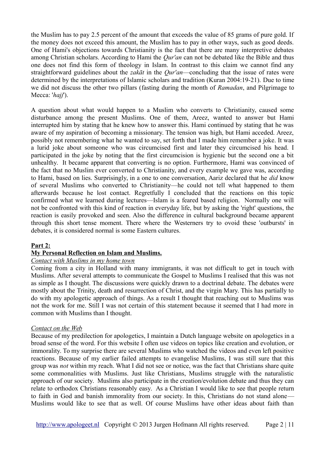the Muslim has to pay 2.5 percent of the amount that exceeds the value of 85 grams of pure gold. If the money does not exceed this amount, the Muslim has to pay in other ways, such as good deeds. One of Hami's objections towards Christianity is the fact that there are many interpretive debates among Christian scholars. According to Hami the *Qur'an* can not be debated like the Bible and thus one does not find this form of theology in Islam. In contrast to this claim we cannot find any straightforward guidelines about the *zakāt* in the *Qur'an*—concluding that the issue of rates were determined by the interpretations of Islamic scholars and tradition (Kuran 2004:19-21). Due to time we did not discuss the other two pillars (fasting during the month of *Ramadan*, and Pilgrimage to Mecca: '*hajj*').

A question about what would happen to a Muslim who converts to Christianity, caused some disturbance among the present Muslims. One of them, Areez, wanted to answer but Hami interrupted him by stating that he knew how to answer this. Hami continued by stating that he was aware of my aspiration of becoming a missionary. The tension was high, but Hami acceded. Areez, possibly not remembering what he wanted to say, set forth that I made him remember a joke. It was a lurid joke about someone who was circumcised first and later they circumcised his head. I participated in the joke by noting that the first circumcision is hygienic but the second one a bit unhealthy. It became apparent that converting is no option. Furthermore, Hami was convinced of the fact that no Muslim ever converted to Christianity, and every example we gave was, according to Hami, based on lies. Surprisingly, in a one to one conversation, Aariz declared that he *did* know of several Muslims who converted to Christianity—he could not tell what happened to them afterwards because he lost contact. Regretfully I concluded that the reactions on this topic confirmed what we learned during lectures—Islam is a feared based religion. Normally one will not be confronted with this kind of reaction in everyday life, but by asking the 'right' questions, the reaction is easily provoked and seen. Also the difference in cultural background became apparent through this short tense moment. There where the Westerners try to ovoid these 'outbursts' in debates, it is considered normal is some Eastern cultures.

#### **Part 2:**

#### **My Personal Reflection on Islam and Muslims.**

#### *Contact with Muslims in my home town*

Coming from a city in Holland with many immigrants, it was not difficult to get in touch with Muslims. After several attempts to communicate the Gospel to Muslims I realised that this was not as simple as I thought. The discussions were quickly drawn to a doctrinal debate. The debates were mostly about the Trinity, death and resurrection of Christ, and the virgin Mary. This has partially to do with my apologetic approach of things. As a result I thought that reaching out to Muslims was not the work for me. Still I was not certain of this statement because it seemed that I had more in common with Muslims than I thought.

#### *Contact on the Web*

Because of my predilection for apologetics, I maintain a Dutch language website on apologetics in a broad sense of the word. For this website I often use videos on topics like creation and evolution, or immorality. To my surprise there are several Muslims who watched the videos and even left positive reactions. Because of my earlier failed attempts to evangelise Muslims, I was still sure that this group was *not* within my reach. What I did not see or notice, was the fact that Christians share quite some commonalities with Muslims. Just like Christians, Muslims struggle with the naturalistic approach of our society. Muslims also participate in the creation/evolution debate and thus they can relate to orthodox Christians reasonably easy. As a Christian I would like to see that people return to faith in God and banish immorality from our society. In this, Christians do not stand alone— Muslims would like to see that as well. Of course Muslims have other ideas about faith than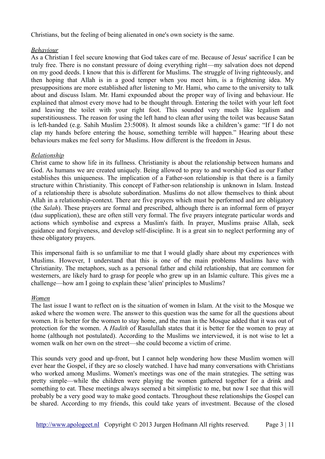Christians, but the feeling of being alienated in one's own society is the same.

## *Behaviour*

As a Christian I feel secure knowing that God takes care of me. Because of Jesus' sacrifice I can be truly free. There is no constant pressure of doing everything right—my salvation does not depend on my good deeds. I know that this is different for Muslims. The struggle of living righteously, and then hoping that Allah is in a good temper when you meet him, is a frightening idea. My presuppositions are more established after listening to Mr. Hami, who came to the university to talk about and discuss Islam. Mr. Hami expounded about the proper way of living and behaviour. He explained that almost every move had to be thought through. Entering the toilet with your left foot and leaving the toilet with your right foot. This sounded very much like legalism and superstitiousness. The reason for using the left hand to clean after using the toilet was because Satan is left-handed (e.g. Sahih Muslim 23:5008). It almost sounds like a children's game: "If I do not clap my hands before entering the house, something terrible will happen." Hearing about these behaviours makes me feel sorry for Muslims. How different is the freedom in Jesus.

## *Relationship*

Christ came to show life in its fullness. Christianity is about the relationship between humans and God. As humans we are created uniquely. Being allowed to pray to and worship God as our Father establishes this uniqueness. The implication of a Father-son relationship is that there is a family structure within Christianity. This concept of Father-son relationship is unknown in Islam. Instead of a relationship there is absolute subordination. Muslims do not allow themselves to think about Allah in a relationship-context. There are five prayers which must be performed and are obligatory (the *Salah*). These prayers are formal and prescribed, although there is an informal form of prayer (d*ua* supplication), these are often still very formal. The five prayers integrate particular words and actions which symbolise and express a Muslim's faith. In prayer, Muslims praise Allah, seek guidance and forgiveness, and develop self-discipline. It is a great sin to neglect performing any of these obligatory prayers.

This impersonal faith is so unfamiliar to me that I would gladly share about my experiences with Muslims. However, I understand that this is one of the main problems Muslims have with Christianity. The metaphors, such as a personal father and child relationship, that are common for westerners, are likely hard to grasp for people who grew up in an Islamic culture. This gives me a challenge—how am I going to explain these 'alien' principles to Muslims?

#### *Women*

The last issue I want to reflect on is the situation of women in Islam. At the visit to the Mosque we asked where the women were. The answer to this question was the same for all the questions about women. It is better for the women to stay home, and the man in the Mosque added that it was out of protection for the women. A *Hadith* of Rasulullah states that it is better for the women to pray at home (although not postulated). According to the Muslims we interviewed, it is not wise to let a women walk on her own on the street—she could become a victim of crime.

This sounds very good and up-front, but I cannot help wondering how these Muslim women will ever hear the Gospel, if they are so closely watched. I have had many conversations with Christians who worked among Muslims. Women's meetings was one of the main strategies. The setting was pretty simple—while the children were playing the women gathered together for a drink and something to eat. These meetings always seemed a bit simplistic to me, but now I see that this will probably be a very good way to make good contacts. Throughout these relationships the Gospel can be shared. According to my friends, this could take years of investment. Because of the closed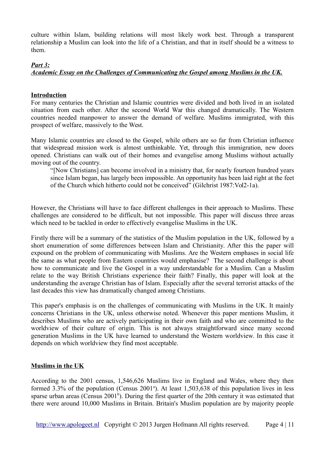culture within Islam, building relations will most likely work best. Through a transparent relationship a Muslim can look into the life of a Christian, and that in itself should be a witness to them.

## *Part 3:*

# *Academic Essay on the Challenges of Communicating the Gospel among Muslims in the UK.*

## **Introduction**

For many centuries the Christian and Islamic countries were divided and both lived in an isolated situation from each other. After the second World War this changed dramatically. The Western countries needed manpower to answer the demand of welfare. Muslims immigrated, with this prospect of welfare, massively to the West.

Many Islamic countries are closed to the Gospel, while others are so far from Christian influence that widespread mission work is almost unthinkable. Yet, through this immigration, new doors opened. Christians can walk out of their homes and evangelise among Muslims without actually moving out of the country.

"[Now Christians] can become involved in a ministry that, for nearly fourteen hundred years since Islam began, has largely been impossible. An opportunity has been laid right at the feet of the Church which hitherto could not be conceived" (Gilchrist 1987:Vol2-1a).

However, the Christians will have to face different challenges in their approach to Muslims. These challenges are considered to be difficult, but not impossible. This paper will discuss three areas which need to be tackled in order to effectively evangelise Muslims in the UK.

Firstly there will be a summary of the statistics of the Muslim population in the UK, followed by a short enumeration of some differences between Islam and Christianity. After this the paper will expound on the problem of communicating with Muslims. Are the Western emphases in social life the same as what people from Eastern countries would emphasise?The second challenge is about how to communicate and live the Gospel in a way understandable for a Muslim. Can a Muslim relate to the way British Christians experience their faith? Finally, this paper will look at the understanding the average Christian has of Islam. Especially after the several terrorist attacks of the last decades this view has dramatically changed among Christians.

This paper's emphasis is on the challenges of communicating with Muslims in the UK. It mainly concerns Christians in the UK, unless otherwise noted. Whenever this paper mentions Muslim, it describes Muslims who are actively participating in their own faith and who are committed to the worldview of their culture of origin. This is not always straightforward since many second generation Muslims in the UK have learned to understand the Western worldview. In this case it depends on which worldview they find most acceptable.

## **Muslims in the UK**

According to the 2001 census, 1,546,626 Muslims live in England and Wales, where they then formed 3.3% of the population (Census 2001<sup>a</sup>). At least 1,503,638 of this population lives in less sparse urban areas (Census 2001<sup>b</sup>). During the first quarter of the 20th century it was estimated that there were around 10,000 Muslims in Britain. Britain's Muslim population are by majority people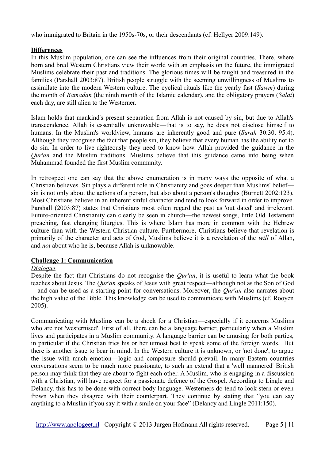who immigrated to Britain in the 1950s-70s, or their descendants (cf. Hellyer 2009:149).

## **Differences**

In this Muslim population, one can see the influences from their original countries. There, where born and bred Western Christians view their world with an emphasis on the future, the immigrated Muslims celebrate their past and traditions. The glorious times will be taught and treasured in the families (Parshall 2003:87). British people struggle with the seeming unwillingness of Muslims to assimilate into the modern Western culture. The cyclical rituals like the yearly fast (*Sawm*) during the month of *Ramadan* (the ninth month of the Islamic calendar), and the obligatory prayers (*Salat*) each day, are still alien to the Westerner.

Islam holds that mankind's present separation from Allah is not caused by sin, but due to Allah's transcendence. Allah is essentially unknowable—that is to say, he does not disclose himself to humans. In the Muslim's worldview, humans are inherently good and pure (*Surah* 30:30, 95:4). Although they recognise the fact that people sin, they believe that every human has the ability not to do sin. In order to live righteously they need to know how. Allah provided the guidance in the *Qur'an* and the Muslim traditions. Muslims believe that this guidance came into being when Muhammad founded the first Muslim community.

In retrospect one can say that the above enumeration is in many ways the opposite of what a Christian believes. Sin plays a different role in Christianity and goes deeper than Muslims' belief sin is not only about the actions of a person, but also about a person's thoughts (Burnett 2002:123). Most Christians believe in an inherent sinful character and tend to look forward in order to improve. Parshall (2003:87) states that Christians most often regard the past as 'out dated' and irrelevant. Future-oriented Christianity can clearly be seen in church—the newest songs, little Old Testament preaching, fast changing liturgies. This is where Islam has more in common with the Hebrew culture than with the Western Christian culture. Furthermore, Christians believe that revelation is primarily of the character and acts of God, Muslims believe it is a revelation of the *will* of Allah, and *not* about who he is, because Allah is unknowable.

## **Challenge 1: Communication**

## *Dialogue*

Despite the fact that Christians do not recognise the *Qur'an*, it is useful to learn what the book teaches about Jesus. The *Qur'an* speaks of Jesus with great respect—although not as the Son of God —and can be used as a starting point for conversations. Moreover, the *Qur'an* also narrates about the high value of the Bible. This knowledge can be used to communicate with Muslims (cf. Rooyen 2005).

Communicating with Muslims can be a shock for a Christian—especially if it concerns Muslims who are not 'westernised'. First of all, there can be a language barrier, particularly when a Muslim lives and participates in a Muslim community. A language barrier can be amusing for both parties, in particular if the Christian tries his or her utmost best to speak some of the foreign words. But there is another issue to bear in mind. In the Western culture it is unknown, or 'not done', to argue the issue with much emotion—logic and composure should prevail. In many Eastern countries conversations seem to be much more passionate, to such an extend that a 'well mannered' British person may think that they are about to fight each other. A Muslim, who is engaging in a discussion with a Christian, will have respect for a passionate defence of the Gospel. According to Lingle and Delancy, this has to be done with correct body language. Westerners do tend to look stern or even frown when they disagree with their counterpart. They continue by stating that "you can say anything to a Muslim if you say it with a smile on your face" (Delancy and Lingle 2011:150).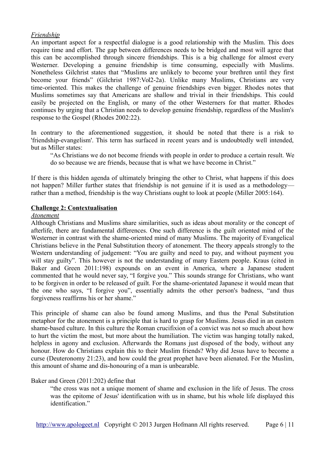## *Friendship*

An important aspect for a respectful dialogue is a good relationship with the Muslim. This does require time and effort. The gap between differences needs to be bridged and most will agree that this can be accomplished through sincere friendships. This is a big challenge for almost every Westerner. Developing a genuine friendship is time consuming, especially with Muslims. Nonetheless Gilchrist states that "Muslims are unlikely to become your brethren until they first become your friends" (Gilchrist 1987:Vol2-2a). Unlike many Muslims, Christians are very time-oriented. This makes the challenge of genuine friendships even bigger. Rhodes notes that Muslims sometimes say that Americans are shallow and trivial in their friendships. This could easily be projected on the English, or many of the other Westerners for that matter. Rhodes continues by urging that a Christian needs to develop genuine friendship, regardless of the Muslim's response to the Gospel (Rhodes 2002:22).

In contrary to the aforementioned suggestion, it should be noted that there is a risk to 'friendship-evangelism'. This term has surfaced in recent years and is undoubtedly well intended, but as Miller states:

"As Christians we do not become friends with people in order to produce a certain result. We do so because we are friends, because that is what we have become in Christ."

If there is this hidden agenda of ultimately bringing the other to Christ, what happens if this does not happen? Miller further states that friendship is not genuine if it is used as a methodology rather than a method, friendship is the way Christians ought to look at people (Miller 2005:164).

## **Challenge 2: Contextualisation**

#### *Atonement*

Although Christians and Muslims share similarities, such as ideas about morality or the concept of afterlife, there are fundamental differences. One such difference is the guilt oriented mind of the Westerner in contrast with the shame-oriented mind of many Muslims. The majority of Evangelical Christians believe in the Penal Substitution theory of atonement. The theory appeals strongly to the Western understanding of judgement: "You are guilty and need to pay, and without payment you will stay guilty". This however is not the understanding of many Eastern people. Kraus (cited in Baker and Green 2011:198) expounds on an event in America, where a Japanese student commented that he would never say, "I forgive you." This sounds strange for Christians, who want to be forgiven in order to be released of guilt. For the shame-orientated Japanese it would mean that the one who says, "I forgive you", essentially admits the other person's badness, "and thus forgiveness reaffirms his or her shame."

This principle of shame can also be found among Muslims, and thus the Penal Substitution metaphor for the atonement is a principle that is hard to grasp for Muslims. Jesus died in an eastern shame-based culture. In this culture the Roman crucifixion of a convict was not so much about how to hurt the victim the most, but more about the humiliation. The victim was hanging totally naked, helpless in agony and exclusion. Afterwards the Romans just disposed of the body, without any honour. How do Christians explain this to their Muslim friends? Why did Jesus have to become a curse (Deuteronomy 21:23), and how could the great prophet have been alienated. For the Muslim, this amount of shame and dis-honouring of a man is unbearable.

#### Baker and Green (2011:202) define that

"the cross was not a unique moment of shame and exclusion in the life of Jesus. The cross was the epitome of Jesus' identification with us in shame, but his whole life displayed this identification"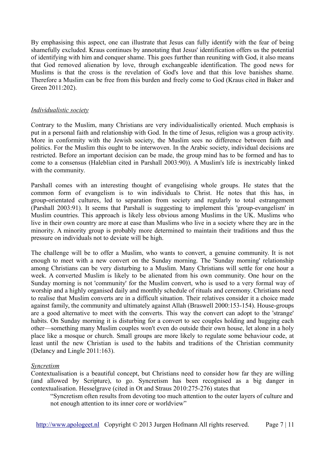By emphasising this aspect, one can illustrate that Jesus can fully identify with the fear of being shamefully excluded. Kraus continues by annotating that Jesus' identification offers us the potential of identifying with him and conquer shame. This goes further than reuniting with God, it also means that God removed alienation by love, through exchangeable identification. The good news for Muslims is that the cross is the revelation of God's love and that this love banishes shame. Therefore a Muslim can be free from this burden and freely come to God (Kraus cited in Baker and Green 2011:202).

### *Individualistic society*

Contrary to the Muslim, many Christians are very individualistically oriented. Much emphasis is put in a personal faith and relationship with God. In the time of Jesus, religion was a group activity. More in conformity with the Jewish society, the Muslim sees no difference between faith and politics. For the Muslim this ought to be interwoven. In the Arabic society, individual decisions are restricted. Before an important decision can be made, the group mind has to be formed and has to come to a consensus (Haleblian cited in Parshall 2003:90)). A Muslim's life is inextricably linked with the community.

Parshall comes with an interesting thought of evangelising whole groups. He states that the common form of evangelism is to win individuals to Christ. He notes that this has, in group-orientated cultures, led to separation from society and regularly to total estrangement (Parshall 2003:91). It seems that Parshall is suggesting to implement this 'group-evangelism' in Muslim countries. This approach is likely less obvious among Muslims in the UK. Muslims who live in their own country are more at ease than Muslims who live in a society where they are in the minority. A minority group is probably more determined to maintain their traditions and thus the pressure on individuals not to deviate will be high.

The challenge will be to offer a Muslim, who wants to convert, a genuine community. It is not enough to meet with a new convert on the Sunday morning. The 'Sunday morning' relationship among Christians can be very disturbing to a Muslim. Many Christians will settle for one hour a week. A converted Muslim is likely to be alienated from his own community. One hour on the Sunday morning is not 'community' for the Muslim convert, who is used to a very formal way of worship and a highly organised daily and monthly schedule of rituals and ceremony. Christians need to realise that Muslim converts are in a difficult situation. Their relatives consider it a choice made against family, the community and ultimately against Allah (Braswell 2000:153-154). House-groups are a good alternative to meet with the converts. This way the convert can adopt to the 'strange' habits. On Sunday morning it is disturbing for a convert to see couples holding and hugging each other—something many Muslim couples won't even do outside their own house, let alone in a holy place like a mosque or church. Small groups are more likely to regulate some behaviour code, at least until the new Christian is used to the habits and traditions of the Christian community (Delancy and Lingle 2011:163).

#### *Syncretism*

Contextualisation is a beautiful concept, but Christians need to consider how far they are willing (and allowed by Scripture), to go. Syncretism has been recognised as a big danger in contextualisation. Hesselgrave (cited in Ot and Straus 2010:275-276) states that

"Syncretism often results from devoting too much attention to the outer layers of culture and not enough attention to its inner core or worldview"

[http://www.apologeet.nl](http://www.apologeet.nl/) Copyright © 2013 Jurgen Hofmann All rights reserved. Page 7 | 11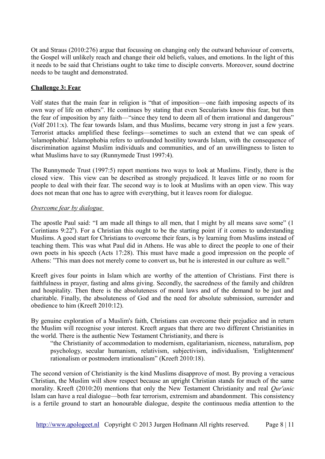Ot and Straus (2010:276) argue that focussing on changing only the outward behaviour of converts, the Gospel will unlikely reach and change their old beliefs, values, and emotions. In the light of this it needs to be said that Christians ought to take time to disciple converts. Moreover, sound doctrine needs to be taught and demonstrated.

## **Challenge 3: Fear**

Volf states that the main fear in religion is "that of imposition—one faith imposing aspects of its own way of life on others". He continues by stating that even Secularists know this fear, but then the fear of imposition by any faith—"since they tend to deem all of them irrational and dangerous" (Volf 2011:x). The fear towards Islam, and thus Muslims, became very strong in just a few years. Terrorist attacks amplified these feelings—sometimes to such an extend that we can speak of 'islamophobia'. Islamophobia refers to unfounded hostility towards Islam, with the consequence of discrimination against Muslim individuals and communities, and of an unwillingness to listen to what Muslims have to say (Runnymede Trust 1997:4).

The Runnymede Trust (1997:5) report mentions two ways to look at Muslims. Firstly, there is the closed view. This view can be described as strongly prejudiced. It leaves little or no room for people to deal with their fear. The second way is to look at Muslims with an open view. This way does not mean that one has to agree with everything, but it leaves room for dialogue.

## *Overcome fear by dialogue*

The apostle Paul said: "I am made all things to all men, that I might by all means save some" (1 Corintians  $9:22<sup>b</sup>$ ). For a Christian this ought to be the starting point if it comes to understanding Muslims. A good start for Christians to overcome their fears, is by learning from Muslims instead of teaching them. This was what Paul did in Athens. He was able to direct the people to one of their own poets in his speech (Acts 17:28). This must have made a good impression on the people of Athens: "This man does not merely come to convert us, but he is interested in our culture as well."

Kreeft gives four points in Islam which are worthy of the attention of Christians. First there is faithfulness in prayer, fasting and alms giving. Secondly, the sacredness of the family and children and hospitality. Then there is the absoluteness of moral laws and of the demand to be just and charitable. Finally, the absoluteness of God and the need for absolute submission, surrender and obedience to him (Kreeft 2010:12).

By genuine exploration of a Muslim's faith, Christians can overcome their prejudice and in return the Muslim will recognise your interest. Kreeft argues that there are two different Christianities in the world. There is the authentic New Testament Christianity, and there is

"the Christianity of accommodation to modernism, egalitarianism, niceness, naturalism, pop psychology, secular humanism, relativism, subjectivism, individualism, 'Enlightenment' rationalism or postmodern irrationalism" (Kreeft 2010:18).

The second version of Christianity is the kind Muslims disapprove of most. By proving a veracious Christian, the Muslim will show respect because an upright Christian stands for much of the same morality. Kreeft (2010:20) mentions that only the New Testament Christianity and real *Qur'anic* Islam can have a real dialogue—both fear terrorism, extremism and abandonment. This consistency is a fertile ground to start an honourable dialogue, despite the continuous media attention to the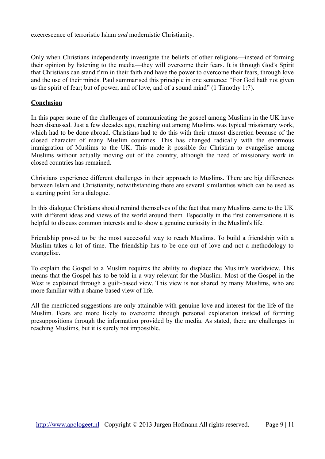execrescence of terroristic Islam *and* modernistic Christianity.

Only when Christians independently investigate the beliefs of other religions—instead of forming their opinion by listening to the media—they will overcome their fears. It is through God's Spirit that Christians can stand firm in their faith and have the power to overcome their fears, through love and the use of their minds. Paul summarised this principle in one sentence: "For God hath not given us the spirit of fear; but of power, and of love, and of a sound mind" (1 Timothy 1:7).

### **Conclusion**

In this paper some of the challenges of communicating the gospel among Muslims in the UK have been discussed. Just a few decades ago, reaching out among Muslims was typical missionary work, which had to be done abroad. Christians had to do this with their utmost discretion because of the closed character of many Muslim countries. This has changed radically with the enormous immigration of Muslims to the UK. This made it possible for Christian to evangelise among Muslims without actually moving out of the country, although the need of missionary work in closed countries has remained.

Christians experience different challenges in their approach to Muslims. There are big differences between Islam and Christianity, notwithstanding there are several similarities which can be used as a starting point for a dialogue.

In this dialogue Christians should remind themselves of the fact that many Muslims came to the UK with different ideas and views of the world around them. Especially in the first conversations it is helpful to discuss common interests and to show a genuine curiosity in the Muslim's life.

Friendship proved to be the most successful way to reach Muslims. To build a friendship with a Muslim takes a lot of time. The friendship has to be one out of love and not a methodology to evangelise.

To explain the Gospel to a Muslim requires the ability to displace the Muslim's worldview. This means that the Gospel has to be told in a way relevant for the Muslim. Most of the Gospel in the West is explained through a guilt-based view. This view is not shared by many Muslims, who are more familiar with a shame-based view of life.

All the mentioned suggestions are only attainable with genuine love and interest for the life of the Muslim. Fears are more likely to overcome through personal exploration instead of forming presuppositions through the information provided by the media. As stated, there are challenges in reaching Muslims, but it is surely not impossible.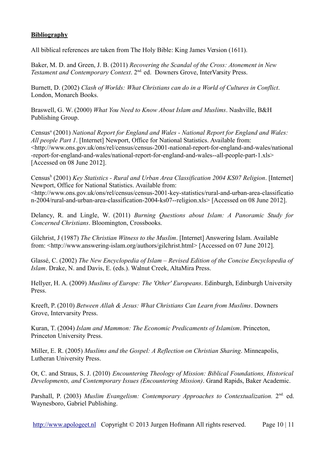# **Bibliography**

All biblical references are taken from The Holy Bible: King James Version (1611).

Baker, M. D. and Green, J. B. (2011) *Recovering the Scandal of the Cross: Atonement in New Testament and Contemporary Context*. 2nd. ed. Downers Grove, InterVarsity Press.

Burnett, D. (2002) *Clash of Worlds: What Christians can do in a World of Cultures in Conflict*. London, Monarch Books.

Braswell, G. W. (2000) *What You Need to Know About Islam and Muslims*. Nashville, B&H Publishing Group.

Census<sup>a</sup> (2001) *National Report for England and Wales - National Report for England and Wales: All people Part 1*. [Internet] Newport, Office for National Statistics. Available from: <http://www.ons.gov.uk/ons/rel/census/census-2001-national-report-for-england-and-wales/national -report-for-england-and-wales/national-report-for-england-and-wales--all-people-part-1.xls> [Accessed on 08 June 2012].

Census<sup>b</sup> (2001) *Key Statistics - Rural and Urban Area Classification 2004 KS07 Religion*. [Internet] Newport, Office for National Statistics. Available from:

<http://www.ons.gov.uk/ons/rel/census/census-2001-key-statistics/rural-and-urban-area-classificatio n-2004/rural-and-urban-area-classification-2004-ks07--religion.xls> [Accessed on 08 June 2012].

Delancy, R. and Lingle, W. (2011) *Burning Questions about Islam: A Panoramic Study for Concerned Christians*. Bloomington, Crossbooks.

Gilchrist, J (1987) *The Christian Witness to the Muslim*. [Internet] Answering Islam. Available from: <http://www.answering-islam.org/authors/gilchrist.html> [Accessed on 07 June 2012].

Glassé, C. (2002) *The New Encyclopedia of Islam – Revised Edition of the Concise Encyclopedia of Islam*. Drake, N. and Davis, E. (eds.). Walnut Creek, AltaMira Press.

Hellyer, H. A. (2009) *Muslims of Europe: The 'Other' Europeans*. Edinburgh, Edinburgh University Press.

Kreeft, P. (2010) *Between Allah & Jesus: What Christians Can Learn from Muslims*. Downers Grove, Intervarsity Press.

Kuran, T. (2004) *Islam and Mammon: The Economic Predicaments of Islamism*. Princeton, Princeton University Press.

Miller, E. R. (2005) *Muslims and the Gospel: A Reflection on Christian Sharing*. Minneapolis, Lutheran University Press.

Ot, C. and Straus, S. J. (2010) *Encountering Theology of Mission: Biblical Foundations, Historical Developments, and Contemporary Issues (Encountering Mission)*. Grand Rapids, Baker Academic.

Parshall, P. (2003) *Muslim Evangelism: Contemporary Approaches to Contextualization*. 2<sup>nd.</sup> ed. Waynesboro, Gabriel Publishing.